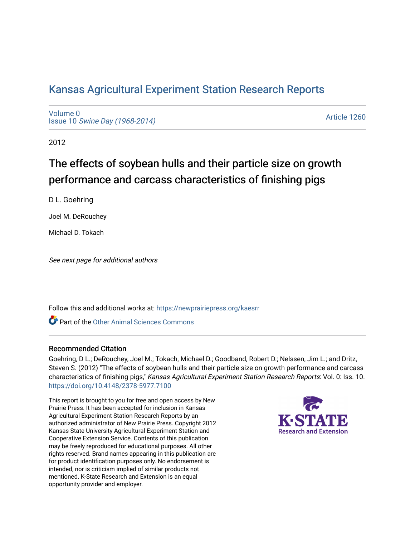# [Kansas Agricultural Experiment Station Research Reports](https://newprairiepress.org/kaesrr)

[Volume 0](https://newprairiepress.org/kaesrr/vol0) Issue 10 [Swine Day \(1968-2014\)](https://newprairiepress.org/kaesrr/vol0/iss10)

[Article 1260](https://newprairiepress.org/kaesrr/vol0/iss10/1260) 

2012

# The effects of soybean hulls and their particle size on growth performance and carcass characteristics of finishing pigs

D L. Goehring

Joel M. DeRouchey

Michael D. Tokach

See next page for additional authors

Follow this and additional works at: [https://newprairiepress.org/kaesrr](https://newprairiepress.org/kaesrr?utm_source=newprairiepress.org%2Fkaesrr%2Fvol0%2Fiss10%2F1260&utm_medium=PDF&utm_campaign=PDFCoverPages) 

**C** Part of the [Other Animal Sciences Commons](http://network.bepress.com/hgg/discipline/82?utm_source=newprairiepress.org%2Fkaesrr%2Fvol0%2Fiss10%2F1260&utm_medium=PDF&utm_campaign=PDFCoverPages)

#### Recommended Citation

Goehring, D L.; DeRouchey, Joel M.; Tokach, Michael D.; Goodband, Robert D.; Nelssen, Jim L.; and Dritz, Steven S. (2012) "The effects of soybean hulls and their particle size on growth performance and carcass characteristics of finishing pigs," Kansas Agricultural Experiment Station Research Reports: Vol. 0: Iss. 10. <https://doi.org/10.4148/2378-5977.7100>

This report is brought to you for free and open access by New Prairie Press. It has been accepted for inclusion in Kansas Agricultural Experiment Station Research Reports by an authorized administrator of New Prairie Press. Copyright 2012 Kansas State University Agricultural Experiment Station and Cooperative Extension Service. Contents of this publication may be freely reproduced for educational purposes. All other rights reserved. Brand names appearing in this publication are for product identification purposes only. No endorsement is intended, nor is criticism implied of similar products not mentioned. K-State Research and Extension is an equal opportunity provider and employer.

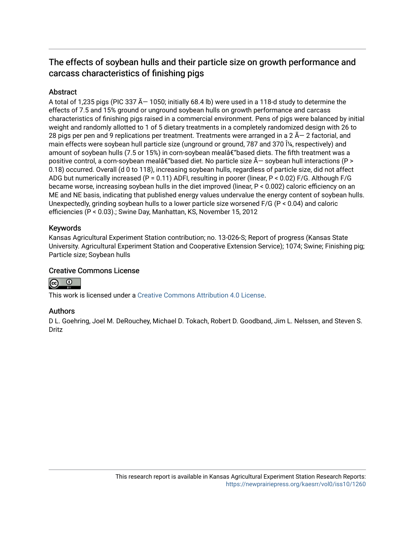# The effects of soybean hulls and their particle size on growth performance and carcass characteristics of finishing pigs

### **Abstract**

A total of 1,235 pigs (PIC 337  $\tilde{A}$  – 1050; initially 68.4 lb) were used in a 118-d study to determine the effects of 7.5 and 15% ground or unground soybean hulls on growth performance and carcass characteristics of finishing pigs raised in a commercial environment. Pens of pigs were balanced by initial weight and randomly allotted to 1 of 5 dietary treatments in a completely randomized design with 26 to 28 pigs per pen and 9 replications per treatment. Treatments were arranged in a 2  $\tilde{A}$  – 2 factorial, and main effects were soybean hull particle size (unground or ground, 787 and 370 μ, respectively) and amount of soybean hulls (7.5 or 15%) in corn-soybean mealâ $\epsilon$ "based diets. The fifth treatment was a positive control, a corn-soybean mealâ $\epsilon$  based diet. No particle size  $\tilde{A}$  - soybean hull interactions (P > 0.18) occurred. Overall (d 0 to 118), increasing soybean hulls, regardless of particle size, did not affect ADG but numerically increased (P = 0.11) ADFI, resulting in poorer (linear, P < 0.02) F/G. Although F/G became worse, increasing soybean hulls in the diet improved (linear, P < 0.002) caloric efficiency on an ME and NE basis, indicating that published energy values undervalue the energy content of soybean hulls. Unexpectedly, grinding soybean hulls to a lower particle size worsened F/G (P < 0.04) and caloric efficiencies (P < 0.03).; Swine Day, Manhattan, KS, November 15, 2012

#### Keywords

Kansas Agricultural Experiment Station contribution; no. 13-026-S; Report of progress (Kansas State University. Agricultural Experiment Station and Cooperative Extension Service); 1074; Swine; Finishing pig; Particle size; Soybean hulls

#### Creative Commons License



This work is licensed under a [Creative Commons Attribution 4.0 License](https://creativecommons.org/licenses/by/4.0/).

#### Authors

D L. Goehring, Joel M. DeRouchey, Michael D. Tokach, Robert D. Goodband, Jim L. Nelssen, and Steven S. Dritz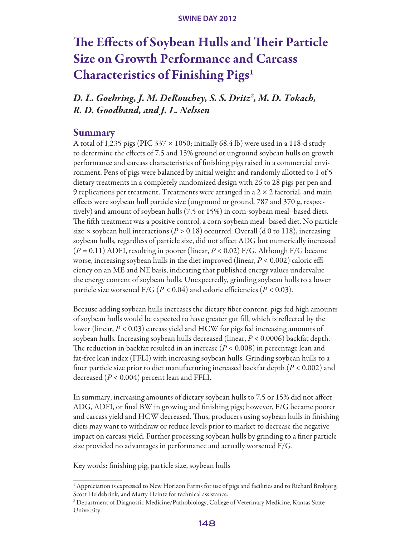# The Effects of Soybean Hulls and Their Particle Size on Growth Performance and Carcass Characteristics of Finishing Pigs1

*D. L. Goehring, J. M. DeRouchey, S. S. Dritz2 , M. D. Tokach, R. D. Goodband, and J. L. Nelssen*

#### Summary

A total of 1,235 pigs (PIC 337  $\times$  1050; initially 68.4 lb) were used in a 118-d study to determine the effects of 7.5 and 15% ground or unground soybean hulls on growth performance and carcass characteristics of finishing pigs raised in a commercial environment. Pens of pigs were balanced by initial weight and randomly allotted to 1 of 5 dietary treatments in a completely randomized design with 26 to 28 pigs per pen and 9 replications per treatment. Treatments were arranged in a  $2 \times 2$  factorial, and main effects were soybean hull particle size (unground or ground, 787 and 370 µ, respectively) and amount of soybean hulls (7.5 or 15%) in corn-soybean meal–based diets. The fifth treatment was a positive control, a corn-soybean meal–based diet. No particle size  $\times$  soybean hull interactions ( $P > 0.18$ ) occurred. Overall (d 0 to 118), increasing soybean hulls, regardless of particle size, did not affect ADG but numerically increased (*P* = 0.11) ADFI, resulting in poorer (linear, *P* < 0.02) F/G. Although F/G became worse, increasing soybean hulls in the diet improved (linear, *P* < 0.002) caloric efficiency on an ME and NE basis, indicating that published energy values undervalue the energy content of soybean hulls. Unexpectedly, grinding soybean hulls to a lower particle size worsened  $F/G$  ( $P < 0.04$ ) and caloric efficiencies ( $P < 0.03$ ).

Because adding soybean hulls increases the dietary fiber content, pigs fed high amounts of soybean hulls would be expected to have greater gut fill, which is reflected by the lower (linear, *P* < 0.03) carcass yield and HCW for pigs fed increasing amounts of soybean hulls. Increasing soybean hulls decreased (linear, *P* < 0.0006) backfat depth. The reduction in backfat resulted in an increase (*P* < 0.008) in percentage lean and fat-free lean index (FFLI) with increasing soybean hulls. Grinding soybean hulls to a finer particle size prior to diet manufacturing increased backfat depth (*P* < 0.002) and decreased (*P* < 0.004) percent lean and FFLI.

In summary, increasing amounts of dietary soybean hulls to 7.5 or 15% did not affect ADG, ADFI, or final BW in growing and finishing pigs; however, F/G became poorer and carcass yield and HCW decreased. Thus, producers using soybean hulls in finishing diets may want to withdraw or reduce levels prior to market to decrease the negative impact on carcass yield. Further processing soybean hulls by grinding to a finer particle size provided no advantages in performance and actually worsened F/G.

Key words: finishing pig, particle size, soybean hulls

<sup>&</sup>lt;sup>1</sup> Appreciation is expressed to New Horizon Farms for use of pigs and facilities and to Richard Brobjorg, Scott Heidebrink, and Marty Heintz for technical assistance.

<sup>&</sup>lt;sup>2</sup> Department of Diagnostic Medicine/Pathobiology, College of Veterinary Medicine, Kansas State University.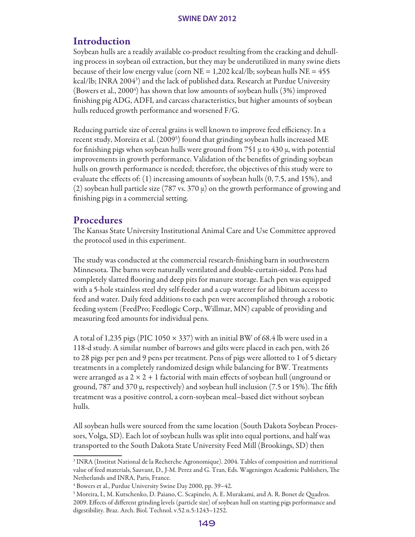# Introduction

Soybean hulls are a readily available co-product resulting from the cracking and dehulling process in soybean oil extraction, but they may be underutilized in many swine diets because of their low energy value (corn  $NE = 1,202$  kcal/lb; soybean hulls  $NE = 455$ ) kcal/lb; INRA 20043 ) and the lack of published data. Research at Purdue University (Bowers et al., 2000<sup>4</sup>) has shown that low amounts of soybean hulls (3%) improved finishing pig ADG, ADFI, and carcass characteristics, but higher amounts of soybean hulls reduced growth performance and worsened F/G.

Reducing particle size of cereal grains is well known to improve feed efficiency. In a recent study, Moreira et al. (20095 ) found that grinding soybean hulls increased ME for finishing pigs when soybean hulls were ground from  $751 \mu$  to  $430 \mu$ , with potential improvements in growth performance. Validation of the benefits of grinding soybean hulls on growth performance is needed; therefore, the objectives of this study were to evaluate the effects of: (1) increasing amounts of soybean hulls (0, 7.5, and 15%), and (2) soybean hull particle size (787 vs. 370  $\mu$ ) on the growth performance of growing and finishing pigs in a commercial setting.

## Procedures

The Kansas State University Institutional Animal Care and Use Committee approved the protocol used in this experiment.

The study was conducted at the commercial research-finishing barn in southwestern Minnesota. The barns were naturally ventilated and double-curtain-sided. Pens had completely slatted flooring and deep pits for manure storage. Each pen was equipped with a 5-hole stainless steel dry self-feeder and a cup waterer for ad libitum access to feed and water. Daily feed additions to each pen were accomplished through a robotic feeding system (FeedPro; Feedlogic Corp., Willmar, MN) capable of providing and measuring feed amounts for individual pens.

A total of 1,235 pigs (PIC 1050  $\times$  337) with an initial BW of 68.4 lb were used in a 118-d study. A similar number of barrows and gilts were placed in each pen, with 26 to 28 pigs per pen and 9 pens per treatment. Pens of pigs were allotted to 1 of 5 dietary treatments in a completely randomized design while balancing for BW. Treatments were arranged as a  $2 \times 2 + 1$  factorial with main effects of soybean hull (unground or ground, 787 and 370 µ, respectively) and soybean hull inclusion (7.5 or 15%). The fifth treatment was a positive control, a corn-soybean meal–based diet without soybean hulls.

All soybean hulls were sourced from the same location (South Dakota Soybean Processors, Volga, SD). Each lot of soybean hulls was split into equal portions, and half was transported to the South Dakota State University Feed Mill (Brookings, SD) then

<sup>3</sup> INRA (Institut National de la Recherche Agronomique). 2004. Tables of composition and nutritional value of feed materials, Sauvant, D., J-M. Perez and G. Tran, Eds. Wageningen Academic Publishers, The Netherlands and INRA, Paris, France.

<sup>4</sup> Bowers et al., Purdue University Swine Day 2000, pp. 39–42.

<sup>5</sup> Moreira, I., M. Kutschenko, D. Paiano, C. Scapinelo, A. E. Murakami, and A. R. Bonet de Quadros. 2009. Effects of different grinding levels (particle size) of soybean hull on starting pigs performance and digestibility. Braz. Arch. Biol. Technol. v.52 n.5:1243–1252.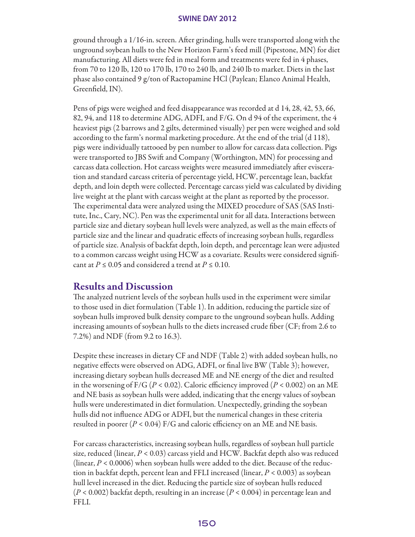ground through a 1/16-in. screen. After grinding, hulls were transported along with the unground soybean hulls to the New Horizon Farm's feed mill (Pipestone, MN) for diet manufacturing. All diets were fed in meal form and treatments were fed in 4 phases, from 70 to 120 lb, 120 to 170 lb, 170 to 240 lb, and 240 lb to market. Diets in the last phase also contained 9 g/ton of Ractopamine HCl (Paylean; Elanco Animal Health, Greenfield, IN).

Pens of pigs were weighed and feed disappearance was recorded at d 14, 28, 42, 53, 66, 82, 94, and 118 to determine ADG, ADFI, and F/G. On d 94 of the experiment, the 4 heaviest pigs (2 barrows and 2 gilts, determined visually) per pen were weighed and sold according to the farm's normal marketing procedure. At the end of the trial (d 118), pigs were individually tattooed by pen number to allow for carcass data collection. Pigs were transported to JBS Swift and Company (Worthington, MN) for processing and carcass data collection. Hot carcass weights were measured immediately after evisceration and standard carcass criteria of percentage yield, HCW, percentage lean, backfat depth, and loin depth were collected. Percentage carcass yield was calculated by dividing live weight at the plant with carcass weight at the plant as reported by the processor. The experimental data were analyzed using the MIXED procedure of SAS (SAS Institute, Inc., Cary, NC). Pen was the experimental unit for all data. Interactions between particle size and dietary soybean hull levels were analyzed, as well as the main effects of particle size and the linear and quadratic effects of increasing soybean hulls, regardless of particle size. Analysis of backfat depth, loin depth, and percentage lean were adjusted to a common carcass weight using HCW as a covariate. Results were considered significant at  $P \le 0.05$  and considered a trend at  $P \le 0.10$ .

### Results and Discussion

The analyzed nutrient levels of the soybean hulls used in the experiment were similar to those used in diet formulation (Table 1). In addition, reducing the particle size of soybean hulls improved bulk density compare to the unground soybean hulls. Adding increasing amounts of soybean hulls to the diets increased crude fiber (CF; from 2.6 to 7.2%) and NDF (from 9.2 to 16.3).

Despite these increases in dietary CF and NDF (Table 2) with added soybean hulls, no negative effects were observed on ADG, ADFI, or final live BW (Table 3); however, increasing dietary soybean hulls decreased ME and NE energy of the diet and resulted in the worsening of  $F/G$  ( $P < 0.02$ ). Caloric efficiency improved ( $P < 0.002$ ) on an ME and NE basis as soybean hulls were added, indicating that the energy values of soybean hulls were underestimated in diet formulation. Unexpectedly, grinding the soybean hulls did not influence ADG or ADFI, but the numerical changes in these criteria resulted in poorer  $(P < 0.04)$  F/G and caloric efficiency on an ME and NE basis.

For carcass characteristics, increasing soybean hulls, regardless of soybean hull particle size, reduced (linear, *P* < 0.03) carcass yield and HCW. Backfat depth also was reduced (linear, *P* < 0.0006) when soybean hulls were added to the diet. Because of the reduction in backfat depth, percent lean and FFLI increased (linear, *P* < 0.003) as soybean hull level increased in the diet. Reducing the particle size of soybean hulls reduced (*P* < 0.002) backfat depth, resulting in an increase (*P* < 0.004) in percentage lean and FFLI.

#### 150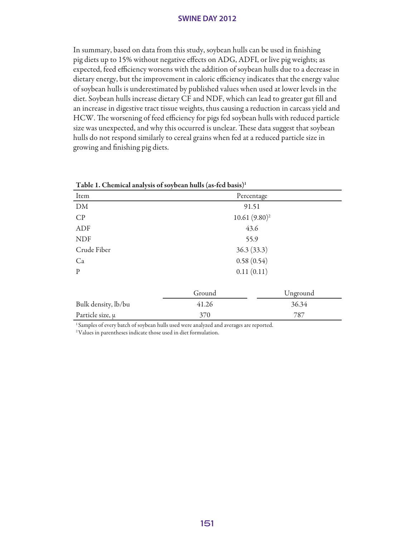In summary, based on data from this study, soybean hulls can be used in finishing pig diets up to 15% without negative effects on ADG, ADFI, or live pig weights; as expected, feed efficiency worsens with the addition of soybean hulls due to a decrease in dietary energy, but the improvement in caloric efficiency indicates that the energy value of soybean hulls is underestimated by published values when used at lower levels in the diet. Soybean hulls increase dietary CF and NDF, which can lead to greater gut fill and an increase in digestive tract tissue weights, thus causing a reduction in carcass yield and HCW. The worsening of feed efficiency for pigs fed soybean hulls with reduced particle size was unexpected, and why this occurred is unclear. These data suggest that soybean hulls do not respond similarly to cereal grains when fed at a reduced particle size in growing and finishing pig diets.

| Table 1. Chemical analysis of soybean hulls (as-fed basis) <sup>1</sup> |            |                 |  |  |
|-------------------------------------------------------------------------|------------|-----------------|--|--|
| Item                                                                    |            | Percentage      |  |  |
| DM                                                                      | 91.51      |                 |  |  |
| CP                                                                      |            | $10.61(9.80)^2$ |  |  |
| ADF                                                                     |            | 43.6            |  |  |
| <b>NDF</b>                                                              |            | 55.9            |  |  |
| Crude Fiber                                                             |            | 36.3(33.3)      |  |  |
| Ca                                                                      | 0.58(0.54) |                 |  |  |
| P                                                                       | 0.11(0.11) |                 |  |  |
|                                                                         | Ground     | Unground        |  |  |
| Bulk density, lb/bu                                                     | 41.26      | 36.34           |  |  |
| Particle size, $\mu$                                                    | 370        | 787             |  |  |

 $T$  11 1  $\Omega$  + 1. Fed 1. Fed basis of solutions of solutions of some solutions of social basis of social basis

<sup>1</sup> Samples of every batch of soybean hulls used were analyzed and averages are reported.

<sup>2</sup> Values in parentheses indicate those used in diet formulation.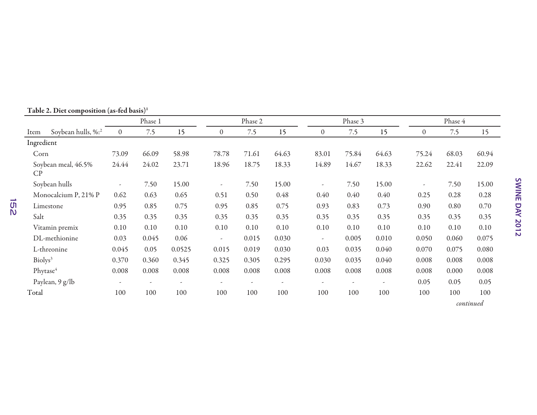|                      |                      | Phase 1                  |       |                          | Phase 2                  |       |                          | Phase 3                  |       |       | Phase 4                  |       |       |
|----------------------|----------------------|--------------------------|-------|--------------------------|--------------------------|-------|--------------------------|--------------------------|-------|-------|--------------------------|-------|-------|
| Item                 | Soybean hulls, %:2   | $\overline{0}$           | 7.5   | 15                       | $\theta$                 | 7.5   | 15                       | $\boldsymbol{0}$         | 7.5   | 15    | $\theta$                 | 7.5   | 15    |
| Ingredient           |                      |                          |       |                          |                          |       |                          |                          |       |       |                          |       |       |
| Corn                 |                      | 73.09                    | 66.09 | 58.98                    | 78.78                    | 71.61 | 64.63                    | 83.01                    | 75.84 | 64.63 | 75.24                    | 68.03 | 60.94 |
| CP                   | Soybean meal, 46.5%  | 24.44                    | 24.02 | 23.71                    | 18.96                    | 18.75 | 18.33                    | 14.89                    | 14.67 | 18.33 | 22.62                    | 22.41 | 22.09 |
|                      | Soybean hulls        | $\overline{\phantom{a}}$ | 7.50  | 15.00                    | $\overline{\phantom{a}}$ | 7.50  | 15.00                    | $\overline{\phantom{a}}$ | 7.50  | 15.00 | $\overline{\phantom{a}}$ | 7.50  | 15.00 |
|                      | Monocalcium P, 21% P | 0.62                     | 0.63  | 0.65                     | 0.51                     | 0.50  | 0.48                     | 0.40                     | 0.40  | 0.40  | 0.25                     | 0.28  | 0.28  |
|                      | Limestone            | 0.95                     | 0.85  | 0.75                     | 0.95                     | 0.85  | 0.75                     | 0.93                     | 0.83  | 0.73  | 0.90                     | 0.80  | 0.70  |
| Salt                 |                      | 0.35                     | 0.35  | 0.35                     | 0.35                     | 0.35  | 0.35                     | 0.35                     | 0.35  | 0.35  | 0.35                     | 0.35  | 0.35  |
|                      | Vitamin premix       | 0.10                     | 0.10  | 0.10                     | 0.10                     | 0.10  | 0.10                     | 0.10                     | 0.10  | 0.10  | 0.10                     | 0.10  | 0.10  |
|                      | DL-methionine        | 0.03                     | 0.045 | 0.06                     | $\overline{\phantom{a}}$ | 0.015 | 0.030                    | $\overline{\phantom{a}}$ | 0.005 | 0.010 | 0.050                    | 0.060 | 0.075 |
|                      | L-threonine          | 0.045                    | 0.05  | 0.0525                   | 0.015                    | 0.019 | 0.030                    | 0.03                     | 0.035 | 0.040 | 0.070                    | 0.075 | 0.080 |
| Biolys <sup>3</sup>  |                      | 0.370                    | 0.360 | 0.345                    | 0.325                    | 0.305 | 0.295                    | 0.030                    | 0.035 | 0.040 | 0.008                    | 0.008 | 0.008 |
| Phytase <sup>4</sup> |                      | 0.008                    | 0.008 | 0.008                    | 0.008                    | 0.008 | 0.008                    | 0.008                    | 0.008 | 0.008 | 0.008                    | 0.000 | 0.008 |
|                      | Paylean, 9 g/lb      | $\tilde{\phantom{a}}$    |       | $\overline{\phantom{a}}$ |                          |       | $\overline{\phantom{a}}$ |                          |       |       | 0.05                     | 0.05  | 0.05  |
| Total                |                      | 100                      | 100   | 100                      | 100                      | 100   | 100                      | 100                      | 100   | 100   | 100                      | 100   | 100   |

## Table 2. Diet composition (as-fed basis)1

*continued*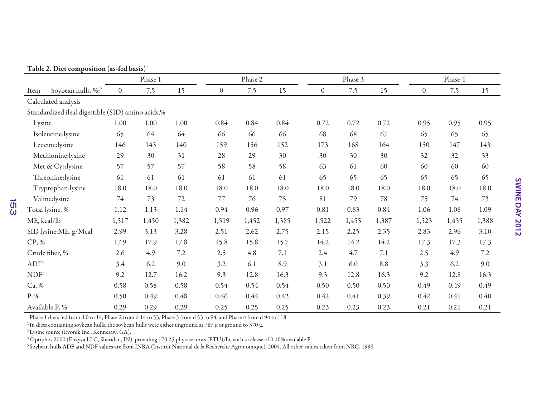Table 2. Diet composition (as-fed basis)1

|                  |                                                   | Phase 1        |       |        | Phase 2          |       |       | Phase 3  |       |       | Phase 4      |       |       |
|------------------|---------------------------------------------------|----------------|-------|--------|------------------|-------|-------|----------|-------|-------|--------------|-------|-------|
| Item             | Soybean hulls, %:2                                | $\overline{0}$ | 7.5   | 15     | $\boldsymbol{0}$ | 7.5   | 15    | $\theta$ | 7.5   | 15    | $\mathbf{0}$ | 7.5   | 15    |
|                  | Calculated analysis                               |                |       |        |                  |       |       |          |       |       |              |       |       |
|                  | Standardized ileal digestible (SID) amino acids,% |                |       |        |                  |       |       |          |       |       |              |       |       |
| Lysine           |                                                   | 1.00           | 1.00  | 1.00   | 0.84             | 0.84  | 0.84  | 0.72     | 0.72  | 0.72  | 0.95         | 0.95  | 0.95  |
|                  | Isoleucine:lysine                                 | 65             | 64    | 64     | 66               | 66    | 66    | 68       | 68    | 67    | 65           | 65    | 65    |
|                  | Leucine:lysine                                    | 146            | 143   | 140    | 159              | 156   | 152   | 173      | 168   | 164   | 150          | 147   | 143   |
|                  | Methionine:lysine                                 | 29             | 30    | 31     | 28               | 29    | 30    | 30       | 30    | 30    | 32           | 32    | 33    |
|                  | Met & Cys:lysine                                  | 57             | 57    | 57     | 58               | 58    | 58    | 63       | 61    | 60    | 60           | 60    | 60    |
|                  | Threonine:lysine                                  | 61             | 61    | 61     | 61               | 61    | 61    | 65       | 65    | 65    | 65           | 65    | 65    |
|                  | Tryptophan:lysine                                 | 18.0           | 18.0  | 18.0   | 18.0             | 18.0  | 18.0  | 18.0     | 18.0  | 18.0  | 18.0         | 18.0  | 18.0  |
|                  | Valine:lysine                                     | 74             | 73    | $72\,$ | 77               | 76    | 75    | 81       | 79    | 78    | 75           | 74    | 73    |
|                  | Total lysine, %                                   | 1.12           | 1.13  | 1.14   | 0.94             | 0.96  | 0.97  | 0.81     | 0.83  | 0.84  | 1.06         | 1.08  | 1.09  |
| ME, kcal/lb      |                                                   | 1,517          | 1,450 | 1,382  | 1,519            | 1,452 | 1,385 | 1,522    | 1,455 | 1,387 | 1,523        | 1,455 | 1,388 |
|                  | SID lysine:ME, g/Mcal                             | 2.99           | 3.13  | 3.28   | 2.51             | 2.62  | 2.75  | 2.15     | 2.25  | 2.35  | 2.83         | 2.96  | 3.10  |
| $CP, \%$         |                                                   | 17.9           | 17.9  | 17.8   | 15.8             | 15.8  | 15.7  | 14.2     | 14.2  | 14.2  | 17.3         | 17.3  | 17.3  |
|                  | Crude fiber, %                                    | 2.6            | 4.9   | 7.2    | 2.5              | 4.8   | 7.1   | 2.4      | 4.7   | 7.1   | 2.5          | 4.9   | 7.2   |
| ADF <sup>5</sup> |                                                   | 3.4            | 6.2   | 9.0    | 3.2              | 6.1   | 8.9   | 3.1      | 6.0   | 8.8   | 3.3          | 6.2   | 9.0   |
| NDF <sup>5</sup> |                                                   | 9.2            | 12.7  | 16.2   | 9.3              | 12.8  | 16.3  | 9.3      | 12.8  | 16.3  | 9.2          | 12.8  | 16.3  |
| Ca, %            |                                                   | 0.58           | 0.58  | 0.58   | 0.54             | 0.54  | 0.54  | 0.50     | 0.50  | 0.50  | 0.49         | 0.49  | 0.49  |
| P, %             |                                                   | 0.50           | 0.49  | 0.48   | 0.46             | 0.44  | 0.42  | 0.42     | 0.41  | 0.39  | 0.42         | 0.41  | 0.40  |
|                  | Available P, %                                    | 0.29           | 0.29  | 0.29   | 0.25             | 0.25  | 0.25  | 0.23     | 0.23  | 0.23  | 0.21         | 0.21  | 0.21  |

<sup>1</sup> Phase 1 diets fed from d 0 to 14, Phase 2 from d 14 to 53, Phase 3 from d 53 to 94, and Phase 4 from d 94 to 118.

<sup>2</sup> In diets containing soybean hulls, the soybean hulls were either unground at 787  $\mu$  or ground to 370  $\mu$ .

<sup>3</sup> Lysine source (Evonik Inc., Kennesaw, GA).

153

4 Optiphos 2000 (Enzyva LLC, Sheridan, IN), providing 170.25 phytase units (FTU)/lb, with a release of 0.10% available P.

5 Soybean hulls ADF and NDF values are from INRA (Institut National de la Recherche Agronomique), 2004. All other values taken from NRC, 1998.